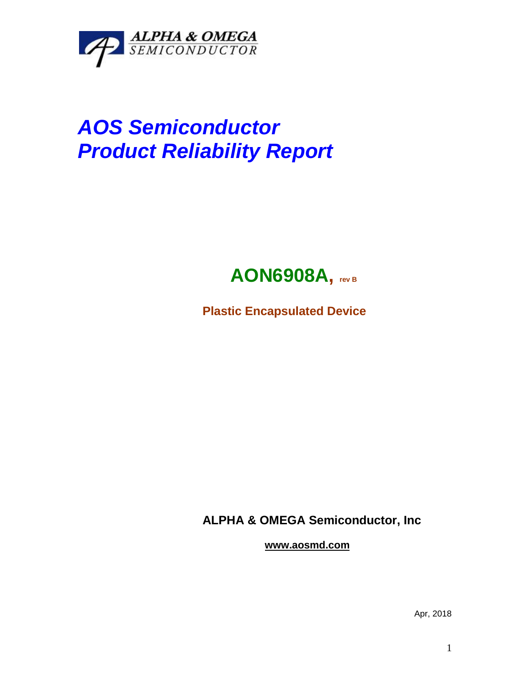

## *AOS Semiconductor Product Reliability Report*



**Plastic Encapsulated Device**

**ALPHA & OMEGA Semiconductor, Inc**

**www.aosmd.com**

Apr, 2018